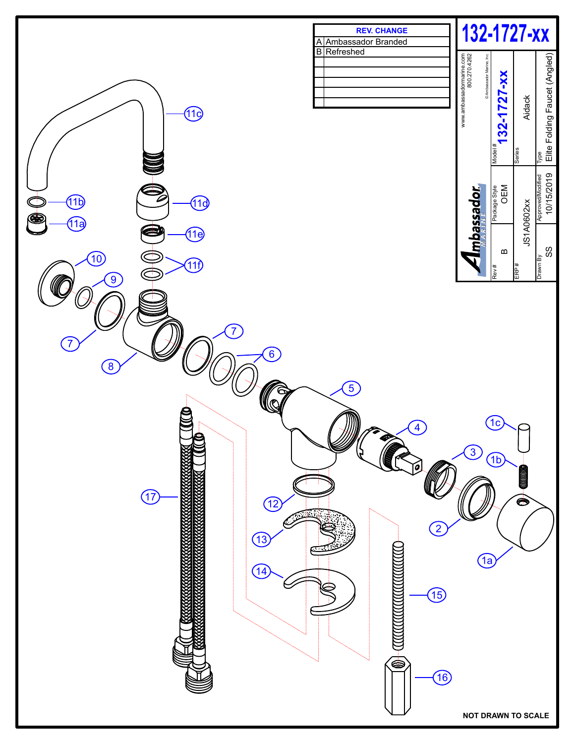